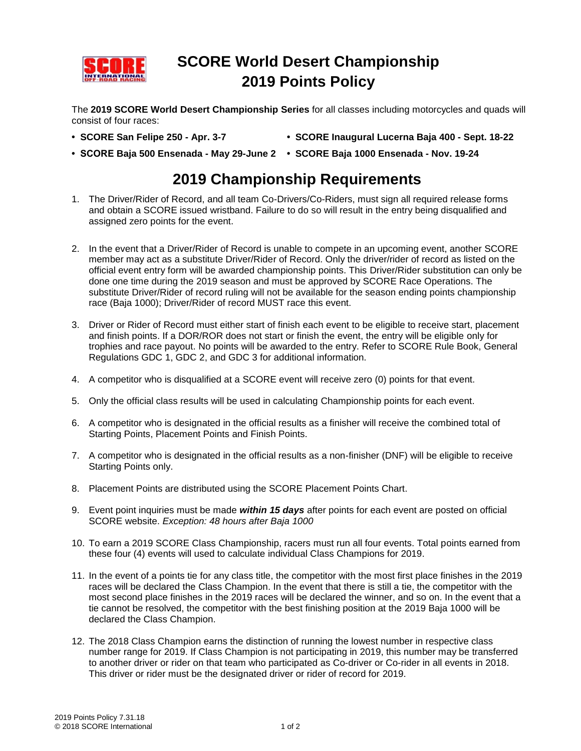

## **SCORE World Desert Championship 2019 Points Policy**

The **2019 SCORE World Desert Championship Series** for all classes including motorcycles and quads will consist of four races:

- **SCORE San Felipe 250 - Apr. 3-7 SCORE Inaugural Lucerna Baja 400 - Sept. 18-22**
- **SCORE Baja 500 Ensenada - May 29-June 2 SCORE Baja 1000 Ensenada - Nov. 19-24**

## **2019 Championship Requirements**

- 1. The Driver/Rider of Record, and all team Co-Drivers/Co-Riders, must sign all required release forms and obtain a SCORE issued wristband. Failure to do so will result in the entry being disqualified and assigned zero points for the event.
- 2. In the event that a Driver/Rider of Record is unable to compete in an upcoming event, another SCORE member may act as a substitute Driver/Rider of Record. Only the driver/rider of record as listed on the official event entry form will be awarded championship points. This Driver/Rider substitution can only be done one time during the 2019 season and must be approved by SCORE Race Operations. The substitute Driver/Rider of record ruling will not be available for the season ending points championship race (Baja 1000); Driver/Rider of record MUST race this event.
- 3. Driver or Rider of Record must either start of finish each event to be eligible to receive start, placement and finish points. If a DOR/ROR does not start or finish the event, the entry will be eligible only for trophies and race payout. No points will be awarded to the entry. Refer to SCORE Rule Book, General Regulations GDC 1, GDC 2, and GDC 3 for additional information.
- 4. A competitor who is disqualified at a SCORE event will receive zero (0) points for that event.
- 5. Only the official class results will be used in calculating Championship points for each event.
- 6. A competitor who is designated in the official results as a finisher will receive the combined total of Starting Points, Placement Points and Finish Points.
- 7. A competitor who is designated in the official results as a non-finisher (DNF) will be eligible to receive Starting Points only.
- 8. Placement Points are distributed using the SCORE Placement Points Chart.
- 9. Event point inquiries must be made *within 15 days* after points for each event are posted on official SCORE website. *Exception: 48 hours after Baja 1000*
- 10. To earn a 2019 SCORE Class Championship, racers must run all four events. Total points earned from these four (4) events will used to calculate individual Class Champions for 2019.
- 11. In the event of a points tie for any class title, the competitor with the most first place finishes in the 2019 races will be declared the Class Champion. In the event that there is still a tie, the competitor with the most second place finishes in the 2019 races will be declared the winner, and so on. In the event that a tie cannot be resolved, the competitor with the best finishing position at the 2019 Baja 1000 will be declared the Class Champion.
- 12. The 2018 Class Champion earns the distinction of running the lowest number in respective class number range for 2019. If Class Champion is not participating in 2019, this number may be transferred to another driver or rider on that team who participated as Co-driver or Co-rider in all events in 2018. This driver or rider must be the designated driver or rider of record for 2019.